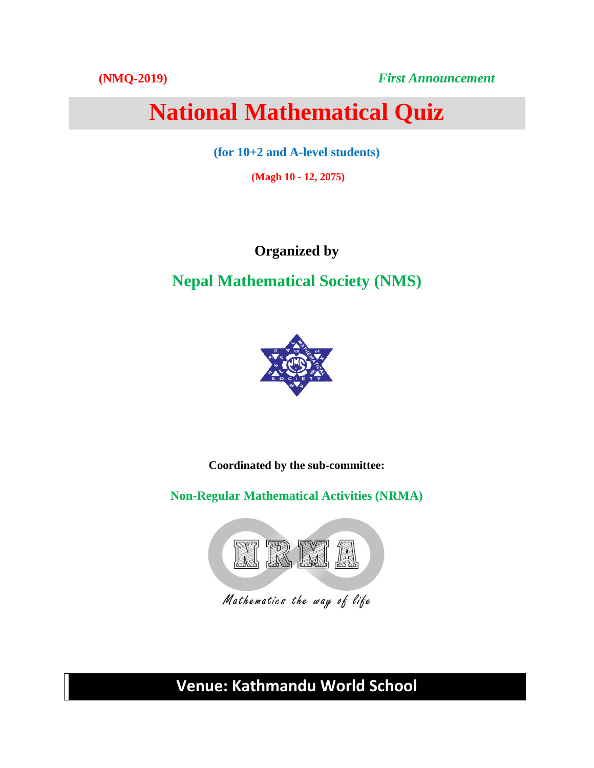**(NMQ-2019)** *First Announcement*

# **National Mathematical Quiz**

**(for 10+2 and A-level students)**

**(Magh 10 - 12, 2075)** 

**Organized by**

**Nepal Mathematical Society (NMS)**



**Coordinated by the sub-committee:**

**Non-Regular Mathematical Activities (NRMA)**



**Venue: Kathmandu World School**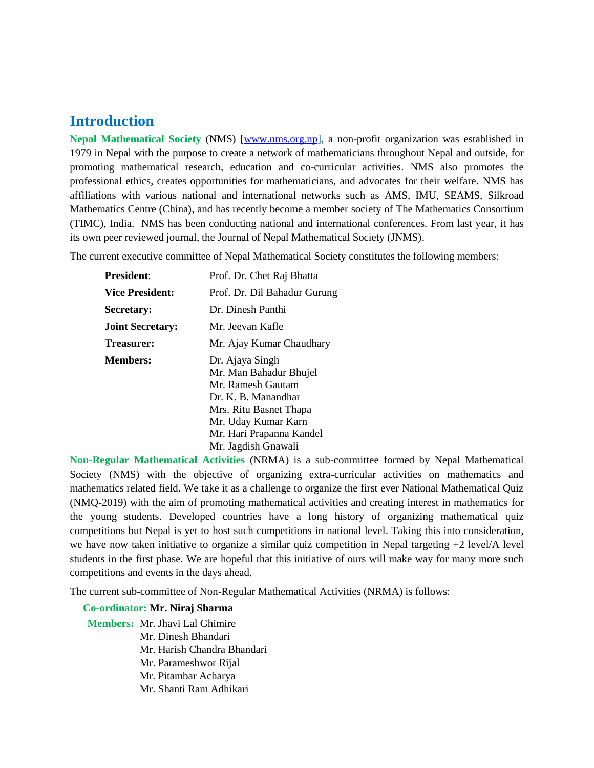# **Introduction**

**Nepal Mathematical Society** (NMS) [\[www.nms.org.np\]](http://www.nms.org.np/), a non-profit organization was established in 1979 in Nepal with the purpose to create a network of mathematicians throughout Nepal and outside, for promoting mathematical research, education and co-curricular activities. NMS also promotes the professional ethics, creates opportunities for mathematicians, and advocates for their welfare. NMS has affiliations with various national and international networks such as AMS, IMU, SEAMS, Silkroad Mathematics Centre (China), and has recently become a member society of The Mathematics Consortium (TIMC), India. NMS has been conducting national and international conferences. From last year, it has its own peer reviewed journal, the Journal of Nepal Mathematical Society (JNMS).

The current executive committee of Nepal Mathematical Society constitutes the following members:

| Prof. Dr. Chet Raj Bhatta    |
|------------------------------|
| Prof. Dr. Dil Bahadur Gurung |
| Dr. Dinesh Panthi            |
| Mr. Jeevan Kafle             |
| Mr. Ajay Kumar Chaudhary     |
| Dr. Ajaya Singh              |
| Mr. Man Bahadur Bhujel       |
| Mr. Ramesh Gautam            |
| Dr. K. B. Manandhar          |
| Mrs. Ritu Basnet Thapa       |
| Mr. Uday Kumar Karn          |
| Mr. Hari Prapanna Kandel     |
| Mr. Jagdish Gnawali          |
|                              |

**Non-Regular Mathematical Activities** (NRMA) is a sub-committee formed by Nepal Mathematical Society (NMS) with the objective of organizing extra-curricular activities on mathematics and mathematics related field. We take it as a challenge to organize the first ever National Mathematical Quiz (NMQ-2019) with the aim of promoting mathematical activities and creating interest in mathematics for the young students. Developed countries have a long history of organizing mathematical quiz competitions but Nepal is yet to host such competitions in national level. Taking this into consideration, we have now taken initiative to organize a similar quiz competition in Nepal targeting +2 level/A level students in the first phase. We are hopeful that this initiative of ours will make way for many more such competitions and events in the days ahead.

The current sub-committee of Non-Regular Mathematical Activities (NRMA) is follows:

## **Co-ordinator: Mr. Niraj Sharma**

**Members:** Mr. Jhavi Lal Ghimire Mr. Dinesh Bhandari Mr. Harish Chandra Bhandari Mr. Parameshwor Rijal Mr. Pitambar Acharya Mr. Shanti Ram Adhikari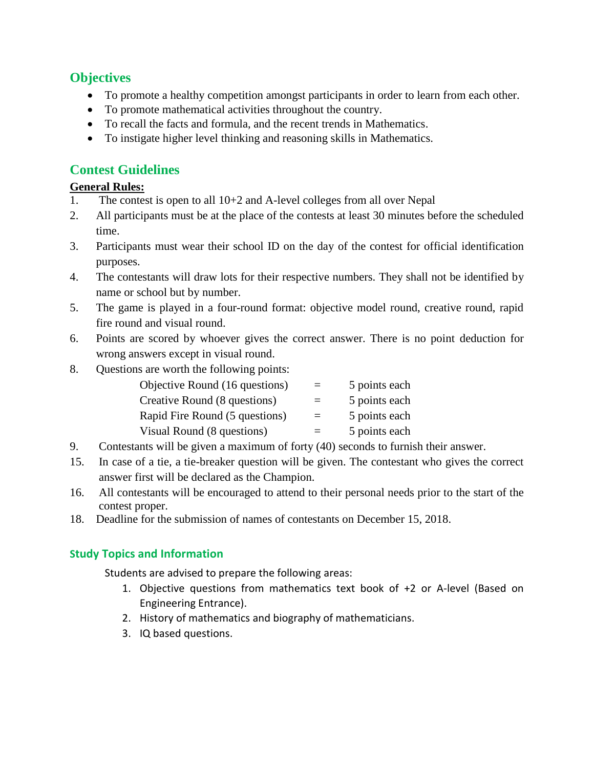## **Objectives**

- To promote a healthy competition amongst participants in order to learn from each other.
- To promote mathematical activities throughout the country.
- To recall the facts and formula, and the recent trends in Mathematics.
- To instigate higher level thinking and reasoning skills in Mathematics.

## **Contest Guidelines**

#### **General Rules:**

- 1. The contest is open to all 10+2 and A-level colleges from all over Nepal
- 2. All participants must be at the place of the contests at least 30 minutes before the scheduled time.
- 3. Participants must wear their school ID on the day of the contest for official identification purposes.
- 4. The contestants will draw lots for their respective numbers. They shall not be identified by name or school but by number.
- 5. The game is played in a four-round format: objective model round, creative round, rapid fire round and visual round.
- 6. Points are scored by whoever gives the correct answer. There is no point deduction for wrong answers except in visual round.
- 8. Questions are worth the following points:

| Objective Round (16 questions) | $=$ | 5 points each |
|--------------------------------|-----|---------------|
| Creative Round (8 questions)   | $=$ | 5 points each |
| Rapid Fire Round (5 questions) | $=$ | 5 points each |
| Visual Round (8 questions)     |     | 5 points each |

- 9. Contestants will be given a maximum of forty (40) seconds to furnish their answer.
- 15. In case of a tie, a tie-breaker question will be given. The contestant who gives the correct answer first will be declared as the Champion.
- 16. All contestants will be encouraged to attend to their personal needs prior to the start of the contest proper.
- 18. Deadline for the submission of names of contestants on December 15, 2018.

## **Study Topics and Information**

Students are advised to prepare the following areas:

- 1. Objective questions from mathematics text book of +2 or A-level (Based on Engineering Entrance).
- 2. History of mathematics and biography of mathematicians.
- 3. IQ based questions.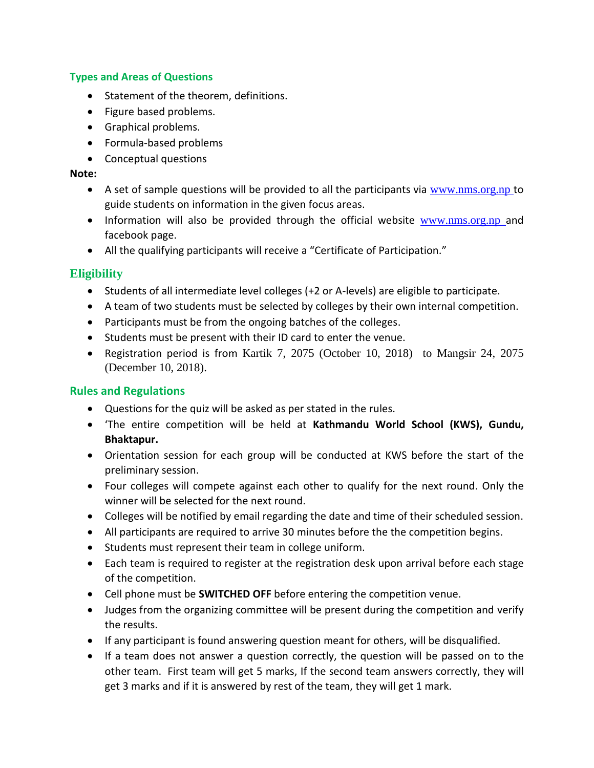#### **Types and Areas of Questions**

- Statement of the theorem, definitions.
- Figure based problems.
- Graphical problems.
- Formula-based problems
- Conceptual questions

#### **Note:**

- A set of sample questions will be provided to all the participants via  $www.nms.org,np$  to guide students on information in the given focus areas.
- Information will also be provided through the official website [www.nms.org.np](http://www.nms.org.np/) and facebook page.
- All the qualifying participants will receive a "Certificate of Participation."

#### **Eligibility**

- Students of all intermediate level colleges (+2 or A-levels) are eligible to participate.
- A team of two students must be selected by colleges by their own internal competition.
- Participants must be from the ongoing batches of the colleges.
- Students must be present with their ID card to enter the venue.
- Registration period is from Kartik 7, 2075 (October 10, 2018) to Mangsir 24, 2075 (December 10, 2018).

#### **Rules and Regulations**

- Questions for the quiz will be asked as per stated in the rules.
- 'The entire competition will be held at **Kathmandu World School (KWS), Gundu, Bhaktapur.**
- Orientation session for each group will be conducted at KWS before the start of the preliminary session.
- Four colleges will compete against each other to qualify for the next round. Only the winner will be selected for the next round.
- Colleges will be notified by email regarding the date and time of their scheduled session.
- All participants are required to arrive 30 minutes before the the competition begins.
- Students must represent their team in college uniform.
- Each team is required to register at the registration desk upon arrival before each stage of the competition.
- Cell phone must be **SWITCHED OFF** before entering the competition venue.
- Judges from the organizing committee will be present during the competition and verify the results.
- If any participant is found answering question meant for others, will be disqualified.
- If a team does not answer a question correctly, the question will be passed on to the other team. First team will get 5 marks, If the second team answers correctly, they will get 3 marks and if it is answered by rest of the team, they will get 1 mark.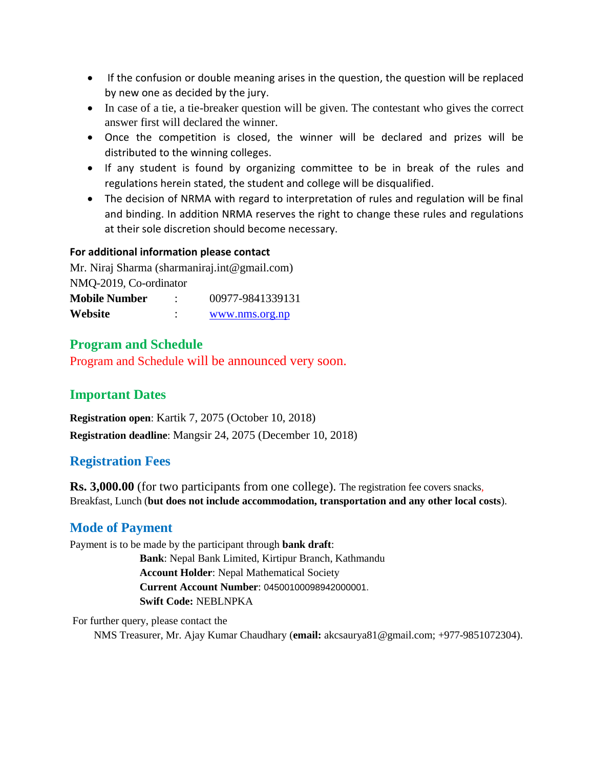- If the confusion or double meaning arises in the question, the question will be replaced by new one as decided by the jury.
- In case of a tie, a tie-breaker question will be given. The contestant who gives the correct answer first will declared the winner.
- Once the competition is closed, the winner will be declared and prizes will be distributed to the winning colleges.
- If any student is found by organizing committee to be in break of the rules and regulations herein stated, the student and college will be disqualified.
- The decision of NRMA with regard to interpretation of rules and regulation will be final and binding. In addition NRMA reserves the right to change these rules and regulations at their sole discretion should become necessary.

#### **For additional information please contact**

Mr. Niraj Sharma (sharmaniraj.int@gmail.com) NMQ-2019, Co-ordinator **Mobile Number** : 00977-9841339131

| Website | www.nms.org.np |
|---------|----------------|
|         |                |

## **Program and Schedule**

Program and Schedule will be announced very soon.

## **Important Dates**

**Registration open**: Kartik 7, 2075 (October 10, 2018) **Registration deadline**: Mangsir 24, 2075 (December 10, 2018)

## **Registration Fees**

**Rs. 3,000.00** (for two participants from one college). The registration fee covers snacks, Breakfast, Lunch (**but does not include accommodation, transportation and any other local costs**).

## **Mode of Payment**

Payment is to be made by the participant through **bank draft**:

 **Bank**: Nepal Bank Limited, Kirtipur Branch, Kathmandu **Account Holder**: Nepal Mathematical Society **Current Account Number**: 04500100098942000001. **Swift Code:** NEBLNPKA

For further query, please contact the

NMS Treasurer, Mr. Ajay Kumar Chaudhary (**email:** akcsaurya81@gmail.com; +977-9851072304).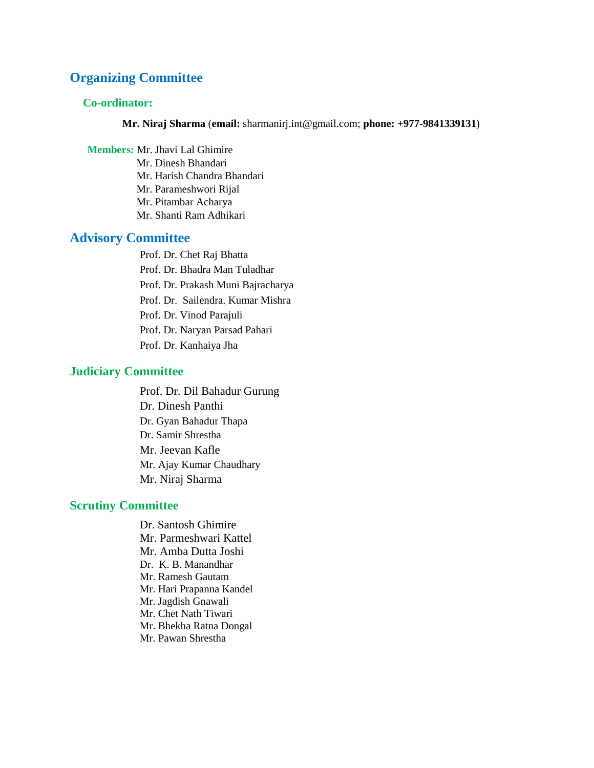## **Organizing Committee**

#### **Co-ordinator:**

**Mr. Niraj Sharma** (**email:** sharmanirj.int@gmail.com; **phone: +977-9841339131**)

**Members:** Mr. Jhavi Lal Ghimire Mr. Dinesh Bhandari Mr. Harish Chandra Bhandari Mr. Parameshwori Rijal Mr. Pitambar Acharya Mr. Shanti Ram Adhikari

# **Advisory Committee**

Prof. Dr. Chet Raj Bhatta Prof. Dr. Bhadra Man Tuladhar Prof. Dr. Prakash Muni Bajracharya Prof. Dr. Sailendra. Kumar Mishra Prof. Dr. Vinod Parajuli Prof. Dr. Naryan Parsad Pahari Prof. Dr. Kanhaiya Jha

#### **Judiciary Committee**

Prof. Dr. Dil Bahadur Gurung Dr. Dinesh Panthi Dr. Gyan Bahadur Thapa Dr. Samir Shrestha Mr. Jeevan Kafle Mr. Ajay Kumar Chaudhary Mr. Niraj Sharma

#### **Scrutiny Committee**

Dr. Santosh Ghimire Mr. Parmeshwari Kattel Mr. Amba Dutta Joshi Dr. K. B. Manandhar Mr. Ramesh Gautam Mr. Hari Prapanna Kandel Mr. Jagdish Gnawali Mr. Chet Nath Tiwari Mr. Bhekha Ratna Dongal Mr. Pawan Shrestha